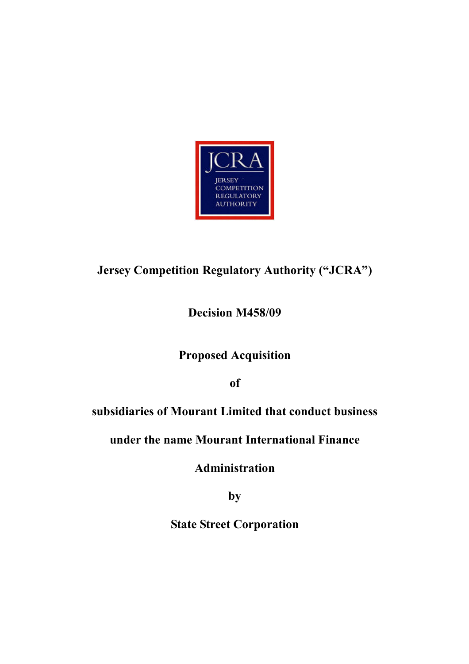

# Jersey Competition Regulatory Authority ("JCRA")

# Decision M458/09

# Proposed Acquisition

of

# subsidiaries of Mourant Limited that conduct business

# under the name Mourant International Finance

Administration

by

State Street Corporation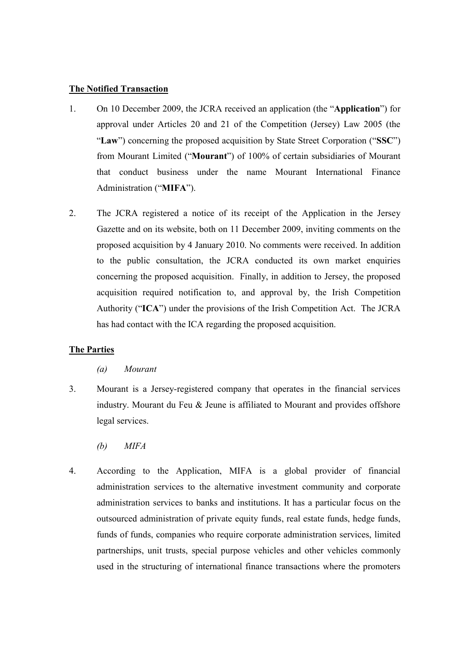## The Notified Transaction

- 1. On 10 December 2009, the JCRA received an application (the "Application") for approval under Articles 20 and 21 of the Competition (Jersey) Law 2005 (the "Law") concerning the proposed acquisition by State Street Corporation ("SSC") from Mourant Limited ("Mourant") of 100% of certain subsidiaries of Mourant that conduct business under the name Mourant International Finance Administration ("MIFA").
- 2. The JCRA registered a notice of its receipt of the Application in the Jersey Gazette and on its website, both on 11 December 2009, inviting comments on the proposed acquisition by 4 January 2010. No comments were received. In addition to the public consultation, the JCRA conducted its own market enquiries concerning the proposed acquisition. Finally, in addition to Jersey, the proposed acquisition required notification to, and approval by, the Irish Competition Authority ("ICA") under the provisions of the Irish Competition Act. The JCRA has had contact with the ICA regarding the proposed acquisition.

### The Parties

- (a) Mourant
- 3. Mourant is a Jersey-registered company that operates in the financial services industry. Mourant du Feu & Jeune is affiliated to Mourant and provides offshore legal services.
	- (b) MIFA
- 4. According to the Application, MIFA is a global provider of financial administration services to the alternative investment community and corporate administration services to banks and institutions. It has a particular focus on the outsourced administration of private equity funds, real estate funds, hedge funds, funds of funds, companies who require corporate administration services, limited partnerships, unit trusts, special purpose vehicles and other vehicles commonly used in the structuring of international finance transactions where the promoters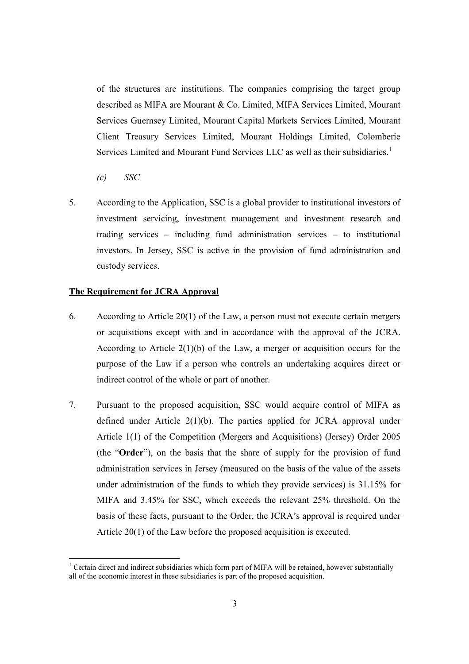of the structures are institutions. The companies comprising the target group described as MIFA are Mourant & Co. Limited, MIFA Services Limited, Mourant Services Guernsey Limited, Mourant Capital Markets Services Limited, Mourant Client Treasury Services Limited, Mourant Holdings Limited, Colomberie Services Limited and Mourant Fund Services LLC as well as their subsidiaries.<sup>1</sup>

 $\mathcal{C}$  SSC

-

5. According to the Application, SSC is a global provider to institutional investors of investment servicing, investment management and investment research and trading services – including fund administration services – to institutional investors. In Jersey, SSC is active in the provision of fund administration and custody services.

#### The Requirement for JCRA Approval

- 6. According to Article 20(1) of the Law, a person must not execute certain mergers or acquisitions except with and in accordance with the approval of the JCRA. According to Article  $2(1)(b)$  of the Law, a merger or acquisition occurs for the purpose of the Law if a person who controls an undertaking acquires direct or indirect control of the whole or part of another.
- 7. Pursuant to the proposed acquisition, SSC would acquire control of MIFA as defined under Article 2(1)(b). The parties applied for JCRA approval under Article 1(1) of the Competition (Mergers and Acquisitions) (Jersey) Order 2005 (the "Order"), on the basis that the share of supply for the provision of fund administration services in Jersey (measured on the basis of the value of the assets under administration of the funds to which they provide services) is 31.15% for MIFA and 3.45% for SSC, which exceeds the relevant 25% threshold. On the basis of these facts, pursuant to the Order, the JCRA's approval is required under Article 20(1) of the Law before the proposed acquisition is executed.

 $1$  Certain direct and indirect subsidiaries which form part of MIFA will be retained, however substantially all of the economic interest in these subsidiaries is part of the proposed acquisition.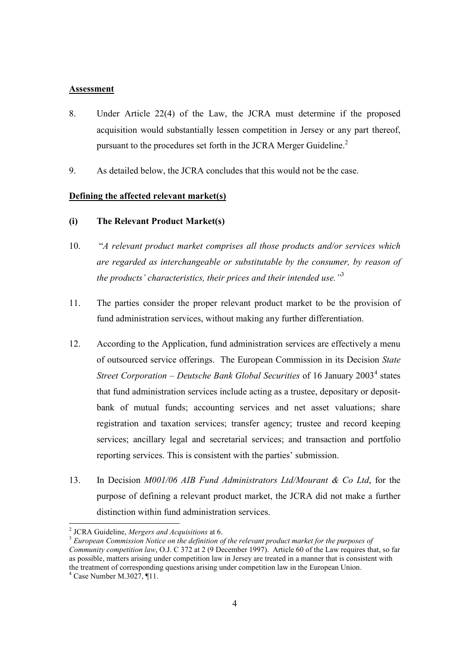#### Assessment

- 8. Under Article 22(4) of the Law, the JCRA must determine if the proposed acquisition would substantially lessen competition in Jersey or any part thereof, pursuant to the procedures set forth in the JCRA Merger Guideline. $2<sup>2</sup>$
- 9. As detailed below, the JCRA concludes that this would not be the case.

#### Defining the affected relevant market(s)

- (i) The Relevant Product Market(s)
- 10. "A relevant product market comprises all those products and/or services which are regarded as interchangeable or substitutable by the consumer, by reason of the products' characteristics, their prices and their intended use." $3$
- 11. The parties consider the proper relevant product market to be the provision of fund administration services, without making any further differentiation.
- 12. According to the Application, fund administration services are effectively a menu of outsourced service offerings. The European Commission in its Decision State Street Corporation – Deutsche Bank Global Securities of 16 January 2003<sup>4</sup> states that fund administration services include acting as a trustee, depositary or depositbank of mutual funds; accounting services and net asset valuations; share registration and taxation services; transfer agency; trustee and record keeping services; ancillary legal and secretarial services; and transaction and portfolio reporting services. This is consistent with the parties' submission.
- 13. In Decision M001/06 AIB Fund Administrators Ltd/Mourant & Co Ltd, for the purpose of defining a relevant product market, the JCRA did not make a further distinction within fund administration services.

**EXECUTE:**<br><sup>2</sup> JCRA Guideline, Mergers and Acquisitions at 6.

 $\frac{3}{3}$  European Commission Notice on the definition of the relevant product market for the purposes of Community competition law, O.J. C 372 at 2 (9 December 1997). Article 60 of the Law requires that, so far as possible, matters arising under competition law in Jersey are treated in a manner that is consistent with the treatment of corresponding questions arising under competition law in the European Union.

<sup>4</sup> Case Number M.3027, ¶11.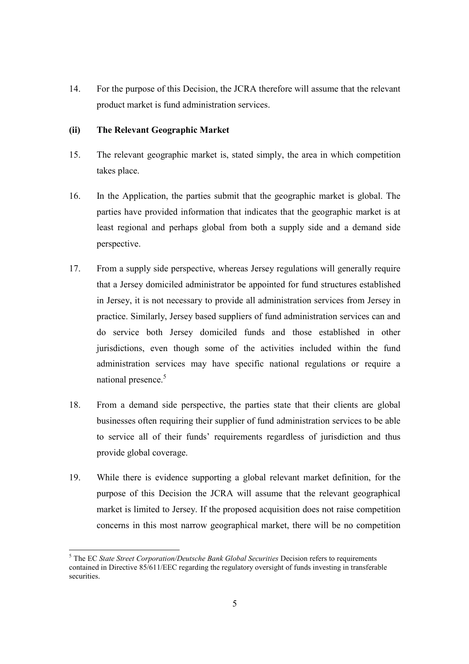14. For the purpose of this Decision, the JCRA therefore will assume that the relevant product market is fund administration services.

### (ii) The Relevant Geographic Market

- 15. The relevant geographic market is, stated simply, the area in which competition takes place.
- 16. In the Application, the parties submit that the geographic market is global. The parties have provided information that indicates that the geographic market is at least regional and perhaps global from both a supply side and a demand side perspective.
- 17. From a supply side perspective, whereas Jersey regulations will generally require that a Jersey domiciled administrator be appointed for fund structures established in Jersey, it is not necessary to provide all administration services from Jersey in practice. Similarly, Jersey based suppliers of fund administration services can and do service both Jersey domiciled funds and those established in other jurisdictions, even though some of the activities included within the fund administration services may have specific national regulations or require a national presence.<sup>5</sup>
- 18. From a demand side perspective, the parties state that their clients are global businesses often requiring their supplier of fund administration services to be able to service all of their funds' requirements regardless of jurisdiction and thus provide global coverage.
- 19. While there is evidence supporting a global relevant market definition, for the purpose of this Decision the JCRA will assume that the relevant geographical market is limited to Jersey. If the proposed acquisition does not raise competition concerns in this most narrow geographical market, there will be no competition

<sup>-</sup> $<sup>5</sup>$  The EC State Street Corporation/Deutsche Bank Global Securities Decision refers to requirements</sup> contained in Directive 85/611/EEC regarding the regulatory oversight of funds investing in transferable securities.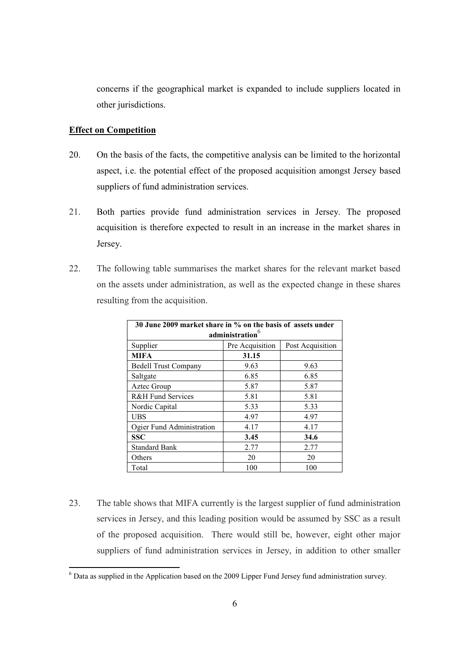concerns if the geographical market is expanded to include suppliers located in other jurisdictions.

### Effect on Competition

- 20. On the basis of the facts, the competitive analysis can be limited to the horizontal aspect, i.e. the potential effect of the proposed acquisition amongst Jersey based suppliers of fund administration services.
- 21. Both parties provide fund administration services in Jersey. The proposed acquisition is therefore expected to result in an increase in the market shares in Jersey.
- 22. The following table summarises the market shares for the relevant market based on the assets under administration, as well as the expected change in these shares resulting from the acquisition.

| 30 June 2009 market share in % on the basis of assets under |                 |                  |
|-------------------------------------------------------------|-----------------|------------------|
| administration <sup>6</sup>                                 |                 |                  |
| Supplier                                                    | Pre Acquisition | Post Acquisition |
| <b>MIFA</b>                                                 | 31.15           |                  |
| <b>Bedell Trust Company</b>                                 | 9.63            | 9.63             |
| Saltgate                                                    | 6.85            | 6.85             |
| Aztec Group                                                 | 5.87            | 5.87             |
| <b>R&amp;H Fund Services</b>                                | 5.81            | 5.81             |
| Nordic Capital                                              | 5.33            | 5.33             |
| <b>UBS</b>                                                  | 4.97            | 4.97             |
| Ogier Fund Administration                                   | 4.17            | 4.17             |
| <b>SSC</b>                                                  | 3.45            | 34.6             |
| <b>Standard Bank</b>                                        | 2.77            | 2.77             |
| Others                                                      | 20              | 20               |
| Total                                                       | 100             | 100              |

23. The table shows that MIFA currently is the largest supplier of fund administration services in Jersey, and this leading position would be assumed by SSC as a result of the proposed acquisition. There would still be, however, eight other major suppliers of fund administration services in Jersey, in addition to other smaller

The Latitude as supplied in the Application based on the 2009 Lipper Fund Jersey fund administration survey.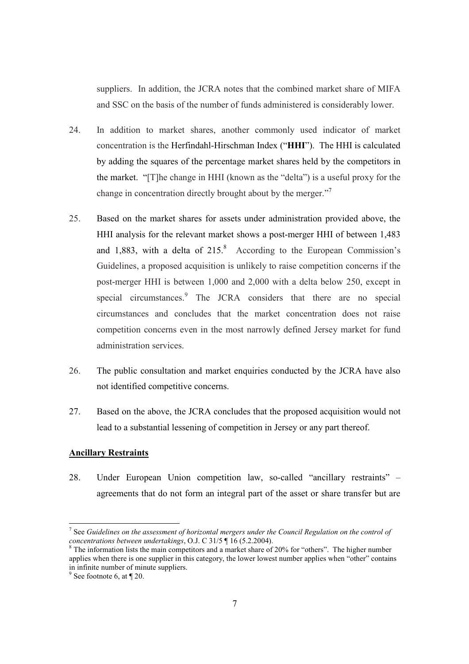suppliers. In addition, the JCRA notes that the combined market share of MIFA and SSC on the basis of the number of funds administered is considerably lower.

- 24. In addition to market shares, another commonly used indicator of market concentration is the Herfindahl-Hirschman Index ("HHI"). The HHI is calculated by adding the squares of the percentage market shares held by the competitors in the market. "[T]he change in HHI (known as the "delta") is a useful proxy for the change in concentration directly brought about by the merger."<sup>7</sup>
- 25. Based on the market shares for assets under administration provided above, the HHI analysis for the relevant market shows a post-merger HHI of between 1,483 and 1,883, with a delta of  $215$ <sup>8</sup> According to the European Commission's Guidelines, a proposed acquisition is unlikely to raise competition concerns if the post-merger HHI is between 1,000 and 2,000 with a delta below 250, except in special circumstances.<sup>9</sup> The JCRA considers that there are no special circumstances and concludes that the market concentration does not raise competition concerns even in the most narrowly defined Jersey market for fund administration services.
- 26. The public consultation and market enquiries conducted by the JCRA have also not identified competitive concerns.
- 27. Based on the above, the JCRA concludes that the proposed acquisition would not lead to a substantial lessening of competition in Jersey or any part thereof.

#### Ancillary Restraints

28. Under European Union competition law, so-called "ancillary restraints" – agreements that do not form an integral part of the asset or share transfer but are

-

<sup>&</sup>lt;sup>7</sup> See Guidelines on the assessment of horizontal mergers under the Council Regulation on the control of concentrations between undertakings, O.J. C 31/5 ¶ 16 (5.2.2004).

 $8$  The information lists the main competitors and a market share of 20% for "others". The higher number applies when there is one supplier in this category, the lower lowest number applies when "other" contains in infinite number of minute suppliers.

<sup>&</sup>lt;sup>9</sup> See footnote 6, at  $\P$  20.